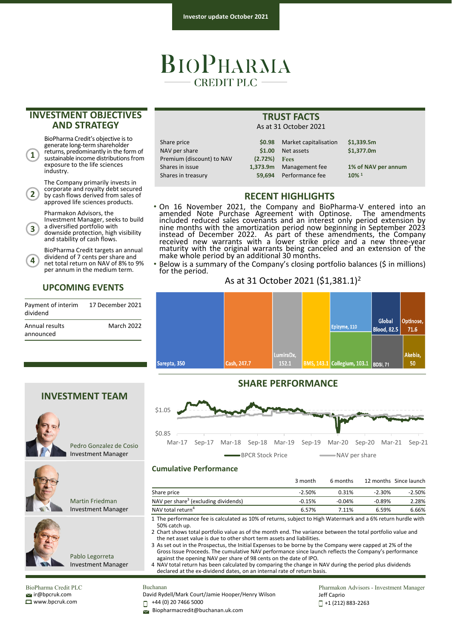# BIOPHARMA **CREDIT PLC -**

## **INVESTMENT OBJECTIVES AND STRATEGY**

BioPharma Credit's objective is to generate long-term shareholder returns, predominantly in the form of sustainable income distributions from exposure to the life sciences industry.

**1**

**4**

The Company primarily invests in corporate and royalty debt secured by cash flows derived from sales of approved life sciences products. **2**

Pharmakon Advisors, the

Investment Manager, seeks to build <sup>a</sup> diversified portfolio with downside protection, high visibility **3**

and stability of cash flows. BioPharma Credit targets an annual

dividend of 7 cents per share and net total return on NAV of 8% to 9% per annum in the medium term.

## **UPCOMING EVENTS**

| Payment of interim<br>dividend | 17 December 2021  |
|--------------------------------|-------------------|
| Annual results                 | <b>March 2022</b> |
| announced                      |                   |



| Share price               | \$0.98         | Marl |
|---------------------------|----------------|------|
| NAV per share             | \$1.00         | Net: |
| Premium (discount) to NAV | $(2.72%)$ Fees |      |
| Shares in issue           | 1.373.9m       | Man  |
| Shares in treasurv        | 59.694         | Perf |

| As at 31 October 2021 |                       |                     |  |  |  |
|-----------------------|-----------------------|---------------------|--|--|--|
| \$0.98                | Market capitalisation | \$1,339.5m          |  |  |  |
| \$1.00                | Net assets            | \$1,377.0m          |  |  |  |
| (2.72%)               | <b>Fees</b>           |                     |  |  |  |
| 1,373.9m              | Management fee        | 1% of NAV per annum |  |  |  |
| 59.694                | Performance fee       | $10\%$ <sup>1</sup> |  |  |  |
|                       |                       |                     |  |  |  |

# **RECENT HIGHLIGHTS**

**TRUST FACTS**

- On 16 November 2021, the Company and BioPharma‐V entered into an amended Note Purchase Agreement with Optinose. The amendments included reduced sales covenants and an interest only period extension by nine months with the amortization period now beginning in September 2023 instead of December 2022. As part of these amendments, the Company received new warrants with a lower strike price and a new three-year<br>maturity with the original warrants being canceled and an extension of the make whole period by an additional 30 months.
	- Below is a summary of the Company's closing portfolio balances (\$ in millions) for the period.

### As at 31 October 2021 (\$1,381.1)2



## **SHARE PERFORMANCE**



#### **Cumulative Performance**

| $-2.50%$ |          |          |                                                                                                                                                                                                                              |
|----------|----------|----------|------------------------------------------------------------------------------------------------------------------------------------------------------------------------------------------------------------------------------|
|          | 0.31%    | $-2.30%$ | $-2.50%$                                                                                                                                                                                                                     |
| $-0.15%$ | $-0.04%$ | $-0.89%$ | 2.28%                                                                                                                                                                                                                        |
| 6.57%    | 7.11%    | 6.59%    | 6.66%                                                                                                                                                                                                                        |
|          |          |          |                                                                                                                                                                                                                              |
|          |          |          | 1 The performance fee is calculated as 10% of returns, subject to High Watermark and a 6% return hurdle with<br>9. Okantakan mendekatakan beraka dan dikemuan berakan The mentenga katu menangka tatal mentidik meluru dan d |

2 Chart shows total portfolio value as of the month end. The variance between the total portfolio value and the net asset value is due to other short term assets and liabilities.

3 As set out in the Prospectus, the Initial Expenses to be borne by the Company were capped at 2% of the Gross Issue Proceeds. The cumulative NAV performance since launch reflects the Company's performance against the opening NAV per share of 98 cents on the date of IPO.

4 NAV total return has been calculated by comparing the change in NAV during the period plus dividends declared at the ex-dividend dates, on an internal rate of return basis.

 $\leq$ ir@bpcruk.com www.bpcruk.com

# Buchanan

David Rydell/Mark Court/Jamie Hooper/Henry Wilson

+44 (0) 20 7466 5000 П

Biopharmacredit@buchanan.uk.com

Pharmakon Advisors - Investment Manager Jeff Caprio +1 (212) 883‐2263